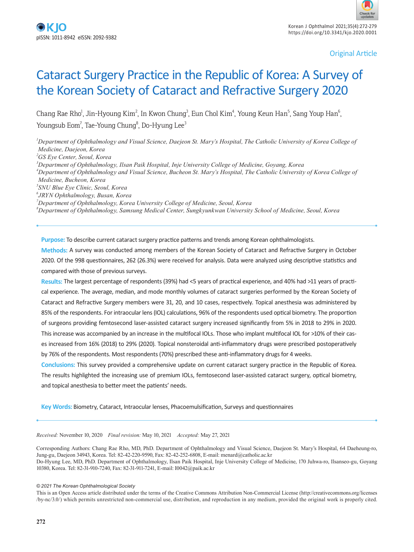Original Article

# Cataract Surgery Practice in the Republic of Korea: A Survey of the Korean Society of Cataract and Refractive Surgery 2020

Chang Rae Rho<sup>1</sup>, Jin-Hyoung Kim<sup>2</sup>, In Kwon Chung<sup>3</sup>, Eun Chol Kim<sup>4</sup>, Young Keun Han<sup>5</sup>, Sang Youp Han<sup>6</sup>, Youngsub Eom<sup>7</sup>, Tae-Young Chung<sup>8</sup>, Do-Hyung Lee<sup>3</sup>

<sup>*I*</sup> Department of Ophthalmology and Visual Science, Daejeon St. Mary's Hospital, The Catholic University of Korea College of *Medicine, Daejeon, Korea*

*2 GS Eye Center, Seoul, Korea*

*3 Department of Ophthalmology, Ilsan Paik Hospital, Inje University College of Medicine, Goyang, Korea*

*4 Department of Ophthalmology and Visual Science, Bucheon St. Mary's Hospital, The Catholic University of Korea College of Medicine, Bucheon, Korea*

*5 SNU Blue Eye Clinic, Seoul, Korea*

*6 JRYN Ophthalmology, Busan, Korea*

*7 Department of Ophthalmology, Korea University College of Medicine, Seoul, Korea*

*8 Department of Ophthalmology, Samsung Medical Center, Sungkyunkwan University School of Medicine, Seoul, Korea*

**Purpose:** To describe current cataract surgery practice patterns and trends among Korean ophthalmologists.

**Methods:** A survey was conducted among members of the Korean Society of Cataract and Refractive Surgery in October 2020. Of the 998 questionnaires, 262 (26.3%) were received for analysis. Data were analyzed using descriptive statistics and compared with those of previous surveys.

**Results:** The largest percentage of respondents (39%) had <5 years of practical experience, and 40% had >11 years of practical experience. The average, median, and mode monthly volumes of cataract surgeries performed by the Korean Society of Cataract and Refractive Surgery members were 31, 20, and 10 cases, respectively. Topical anesthesia was administered by 85% of the respondents. For intraocular lens (IOL) calculations, 96% of the respondents used optical biometry. The proportion of surgeons providing femtosecond laser-assisted cataract surgery increased significantly from 5% in 2018 to 29% in 2020. This increase was accompanied by an increase in the multifocal IOLs. Those who implant multifocal IOL for >10% of their cases increased from 16% (2018) to 29% (2020). Topical nonsteroidal anti-inflammatory drugs were prescribed postoperatively by 76% of the respondents. Most respondents (70%) prescribed these anti-inflammatory drugs for 4 weeks.

**Conclusions:** This survey provided a comprehensive update on current cataract surgery practice in the Republic of Korea. The results highlighted the increasing use of premium IOLs, femtosecond laser-assisted cataract surgery, optical biometry, and topical anesthesia to better meet the patients' needs.

**Key Words:** Biometry, Cataract, Intraocular lenses, Phacoemulsification, Surveys and questionnaires

*Received:* November 10, 2020 *Final revision:* May 10, 2021 *Accepted:* May 27, 2021

Corresponding Authors: Chang Rae Rho, MD, PhD. Department of Ophthalmology and Visual Science, Daejeon St. Mary's Hospital, 64 Daeheung-ro, Jung-gu, Daejeon 34943, Korea. Tel: 82-42-220-9590, Fax: 82-42-252-6808, E-mail: menard@catholic.ac.kr Do-Hyung Lee, MD, PhD. Department of Ophthalmology, Ilsan Paik Hospital, Inje University College of Medicine, 170 Juhwa-ro, Ilsanseo-gu, Goyang 10380, Korea. Tel: 82-31-910-7240, Fax: 82-31-911-7241, E-mail: I0042@paik.ac.kr

#### *© 2021 The Korean Ophthalmological Society*

This is an Open Access article distributed under the terms of the Creative Commons Attribution Non-Commercial License (http://creativecommons.org/licenses /by-nc/3.0/) which permits unrestricted non-commercial use, distribution, and reproduction in any medium, provided the original work is properly cited.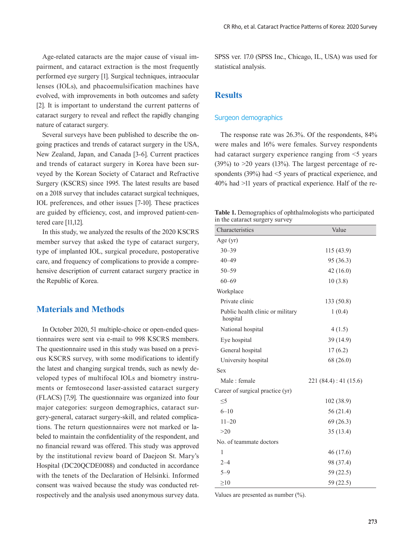Age-related cataracts are the major cause of visual impairment, and cataract extraction is the most frequently performed eye surgery [1]. Surgical techniques, intraocular lenses (IOLs), and phacoemulsification machines have evolved, with improvements in both outcomes and safety [2]. It is important to understand the current patterns of cataract surgery to reveal and reflect the rapidly changing nature of cataract surgery.

Several surveys have been published to describe the ongoing practices and trends of cataract surgery in the USA, New Zealand, Japan, and Canada [3-6]. Current practices and trends of cataract surgery in Korea have been surveyed by the Korean Society of Cataract and Refractive Surgery (KSCRS) since 1995. The latest results are based on a 2018 survey that includes cataract surgical techniques, IOL preferences, and other issues [7-10]. These practices are guided by efficiency, cost, and improved patient-centered care [11,12].

In this study, we analyzed the results of the 2020 KSCRS member survey that asked the type of cataract surgery, type of implanted IOL, surgical procedure, postoperative care, and frequency of complications to provide a comprehensive description of current cataract surgery practice in the Republic of Korea.

## **Materials and Methods**

In October 2020, 51 multiple-choice or open-ended questionnaires were sent via e-mail to 998 KSCRS members. The questionnaire used in this study was based on a previous KSCRS survey, with some modifications to identify the latest and changing surgical trends, such as newly developed types of multifocal IOLs and biometry instruments or femtosecond laser-assisted cataract surgery (FLACS) [7,9]. The questionnaire was organized into four major categories: surgeon demographics, cataract surgery-general, cataract surgery-skill, and related complications. The return questionnaires were not marked or labeled to maintain the confidentiality of the respondent, and no financial reward was offered. This study was approved by the institutional review board of Daejeon St. Mary's Hospital (DC20QCDE0088) and conducted in accordance with the tenets of the Declaration of Helsinki. Informed consent was waived because the study was conducted retrospectively and the analysis used anonymous survey data. SPSS ver. 17.0 (SPSS Inc., Chicago, IL, USA) was used for statistical analysis.

## **Results**

#### Surgeon demographics

The response rate was 26.3%. Of the respondents, 84% were males and 16% were females. Survey respondents had cataract surgery experience ranging from  $\leq$  years (39%) to  $>20$  years (13%). The largest percentage of respondents (39%) had  $\leq$  years of practical experience, and 40% had >11 years of practical experience. Half of the re-

**Table 1.** Demographics of ophthalmologists who participated in the cataract surgery survey

| $\ldots$ . The continues being $\ldots$ , bein $\ldots$ , |                       |  |  |  |
|-----------------------------------------------------------|-----------------------|--|--|--|
| Characteristics                                           | Value                 |  |  |  |
| Age (yr)                                                  |                       |  |  |  |
| $30 - 39$                                                 | 115 (43.9)            |  |  |  |
| $40 - 49$                                                 | 95 (36.3)             |  |  |  |
| $50 - 59$                                                 | 42(16.0)              |  |  |  |
| $60 - 69$                                                 | 10(3.8)               |  |  |  |
| Workplace                                                 |                       |  |  |  |
| Private clinic                                            | 133 (50.8)            |  |  |  |
| Public health clinic or military<br>hospital              | 1(0.4)                |  |  |  |
| National hospital                                         | 4(1.5)                |  |  |  |
| Eye hospital                                              | 39 (14.9)             |  |  |  |
| General hospital                                          | 17(6.2)               |  |  |  |
| University hospital                                       | 68 (26.0)             |  |  |  |
| <b>Sex</b>                                                |                       |  |  |  |
| Male: female                                              | 221 (84.4): 41 (15.6) |  |  |  |
| Career of surgical practice (yr)                          |                       |  |  |  |
| $\leq 5$                                                  | 102 (38.9)            |  |  |  |
| $6 - 10$                                                  | 56 (21.4)             |  |  |  |
| $11 - 20$                                                 | 69(26.3)              |  |  |  |
| >20                                                       | 35 (13.4)             |  |  |  |
| No. of teammate doctors                                   |                       |  |  |  |
| 1                                                         | 46 (17.6)             |  |  |  |
| $2 - 4$                                                   | 98 (37.4)             |  |  |  |
| $5 - 9$                                                   | 59 (22.5)             |  |  |  |
| $\geq10$                                                  | 59 (22.5)             |  |  |  |

Values are presented as number (%).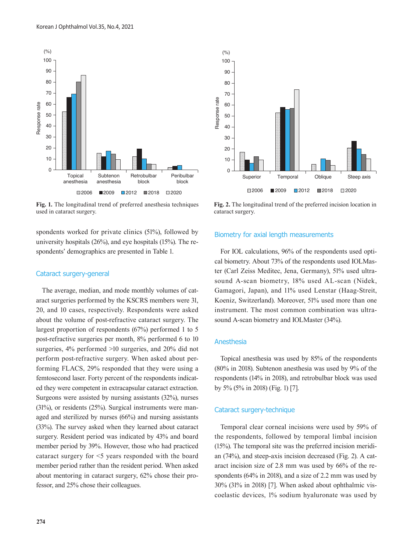

**Fig. 1.** The longitudinal trend of preferred anesthesia techniques used in cataract surgery.

spondents worked for private clinics (51%), followed by university hospitals (26%), and eye hospitals (15%). The respondents' demographics are presented in Table 1.

#### Cataract surgery-general

The average, median, and mode monthly volumes of cataract surgeries performed by the KSCRS members were 31, 20, and 10 cases, respectively. Respondents were asked about the volume of post-refractive cataract surgery. The largest proportion of respondents (67%) performed 1 to 5 post-refractive surgeries per month, 8% performed 6 to 10 surgeries, 4% performed >10 surgeries, and 20% did not perform post-refractive surgery. When asked about performing FLACS, 29% responded that they were using a femtosecond laser. Forty percent of the respondents indicated they were competent in extracapsular cataract extraction. Surgeons were assisted by nursing assistants (32%), nurses (31%), or residents (25%). Surgical instruments were managed and sterilized by nurses (66%) and nursing assistants (33%). The survey asked when they learned about cataract surgery. Resident period was indicated by 43% and board member period by 39%. However, those who had practiced cataract surgery for <5 years responded with the board member period rather than the resident period. When asked about mentoring in cataract surgery, 62% chose their professor, and 25% chose their colleagues.



**Fig. 2.** The longitudinal trend of the preferred incision location in cataract surgery.

#### Biometry for axial length measurements

For IOL calculations, 96% of the respondents used optical biometry. About 73% of the respondents used IOLMaster (Carl Zeiss Meditec, Jena, Germany), 51% used ultrasound A-scan biometry, 18% used AL-scan (Nidek, Gamagori, Japan), and 11% used Lenstar (Haag-Streit, Koeniz, Switzerland). Moreover, 51% used more than one instrument. The most common combination was ultrasound A-scan biometry and IOLMaster (34%).

### Anesthesia

Topical anesthesia was used by 85% of the respondents (80% in 2018). Subtenon anesthesia was used by 9% of the respondents (14% in 2018), and retrobulbar block was used by 5% (5% in 2018) (Fig. 1) [7].

#### Cataract surgery-technique

Temporal clear corneal incisions were used by 59% of the respondents, followed by temporal limbal incision (15%). The temporal site was the preferred incision meridian (74%), and steep-axis incision decreased (Fig. 2). A cataract incision size of 2.8 mm was used by 66% of the respondents (64% in 2018), and a size of 2.2 mm was used by 30% (31% in 2018) [7]. When asked about ophthalmic viscoelastic devices, 1% sodium hyaluronate was used by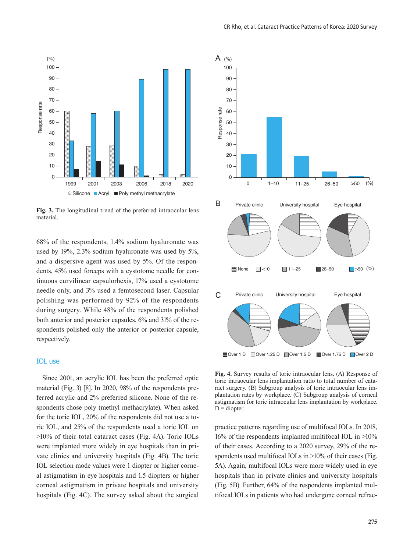

**Fig. 3.** The longitudinal trend of the preferred intraocular lens material.

68% of the respondents, 1.4% sodium hyaluronate was used by 19%, 2.3% sodium hyaluronate was used by 5%, and a dispersive agent was used by 5%. Of the respondents, 45% used forceps with a cystotome needle for continuous curvilinear capsulorhexis, 17% used a cystotome needle only, and 3% used a femtosecond laser. Capsular polishing was performed by 92% of the respondents during surgery. While 48% of the respondents polished both anterior and posterior capsules, 6% and 31% of the respondents polished only the anterior or posterior capsule, respectively.

#### IOL use

Since 2001, an acrylic IOL has been the preferred optic material (Fig. 3) [8]. In 2020, 98% of the respondents preferred acrylic and 2% preferred silicone. None of the respondents chose poly (methyl methacrylate). When asked for the toric IOL, 20% of the respondents did not use a toric IOL, and 25% of the respondents used a toric IOL on >10% of their total cataract cases (Fig. 4A). Toric IOLs were implanted more widely in eye hospitals than in private clinics and university hospitals (Fig. 4B). The toric IOL selection mode values were 1 diopter or higher corneal astigmatism in eye hospitals and 1.5 diopters or higher corneal astigmatism in private hospitals and university hospitals (Fig. 4C). The survey asked about the surgical



**Fig. 4.** Survey results of toric intraocular lens. (A) Response of toric intraocular lens implantation ratio to total number of cataract surgery. (B) Subgroup analysis of toric intraocular lens implantation rates by workplace. (C) Subgroup analysis of corneal astigmatism for toric intraocular lens implantation by workplace.  $D =$  diopter.

practice patterns regarding use of multifocal IOLs. In 2018, 16% of the respondents implanted multifocal IOL in >10% of their cases. According to a 2020 survey, 29% of the respondents used multifocal IOLs in >10% of their cases (Fig. 5A). Again, multifocal IOLs were more widely used in eye hospitals than in private clinics and university hospitals (Fig. 5B). Further, 64% of the respondents implanted multifocal IOLs in patients who had undergone corneal refrac-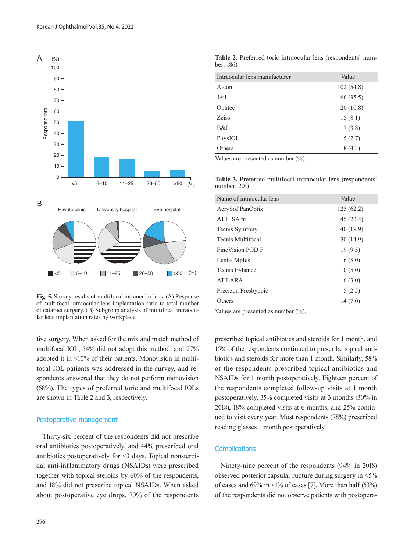

**Fig. 5.** Survey results of multifocal intraocular lens. (A) Response of multifocal intraocular lens implantation ratio to total number of cataract surgery. (B) Subgroup analysis of multifocal intraocular lens implantation rates by workplace.

tive surgery. When asked for the mix and match method of multifocal IOL, 54% did not adopt this method, and 27% adopted it in <10% of their patients. Monovision in multifocal IOL patients was addressed in the survey, and respondents answered that they do not perform monovision (68%). The types of preferred toric and multifocal IOLs are shown in Table 2 and 3, respectively.

#### Postoperative management

Thirty-six percent of the respondents did not prescribe oral antibiotics postoperatively, and 44% prescribed oral antibiotics postoperatively for <3 days. Topical nonsteroidal anti-inflammatory drugs (NSAIDs) were prescribed together with topical steroids by 60% of the respondents, and 18% did not prescribe topical NSAIDs. When asked about postoperative eye drops, 70% of the respondents

**Table 2.** Preferred toric intraocular lens (respondents' number: 186)

| Intraocular lens manufacturer | Value     |
|-------------------------------|-----------|
| Alcon                         | 102(54.8) |
| J&J                           | 66 (35.5) |
| Ophtec                        | 20(10.8)  |
| <b>Zeiss</b>                  | 15(8.1)   |
| B&L                           | 7(3.8)    |
| PhysIOL                       | 5(2.7)    |
| Others                        | 8(4.3)    |

Values are presented as number (%).

|                 |  |  | <b>Table 3.</b> Preferred multifocal intraocular lens (respondents' |
|-----------------|--|--|---------------------------------------------------------------------|
| number: $201$ ) |  |  |                                                                     |

| Name of intraocular lens | Value     |
|--------------------------|-----------|
| AcrySof PanOptix         | 125(62.2) |
| AT LISA tri              | 45(22.4)  |
| Tecnis Symfony           | 40(19.9)  |
| Tecnis Multifocal        | 30(14.9)  |
| FineVision POD F         | 19(9.5)   |
| Lentis Mplus             | 16(8.0)   |
| Tecnis Eyhance           | 10(5.0)   |
| AT LARA                  | 6(3.0)    |
| Precizon Presbyopic      | 5(2.5)    |
| Others                   | 14(7.0)   |

Values are presented as number (%).

prescribed topical antibiotics and steroids for 1 month, and 15% of the respondents continued to prescribe topical antibiotics and steroids for more than 1 month. Similarly, 58% of the respondents prescribed topical antibiotics and NSAIDs for 1 month postoperatively. Eighteen percent of the respondents completed follow-up visits at 1 month postoperatively, 35% completed visits at 3 months (30% in 2018), 18% completed visits at 6 months, and 25% continued to visit every year. Most respondents (78%) prescribed reading glasses 1 month postoperatively.

#### **Complications**

Ninety-nine percent of the respondents (94% in 2018) observed posterior capsular rupture during surgery in <5% of cases and  $69\%$  in  $\leq 1\%$  of cases [7]. More than half (53%) of the respondents did not observe patients with postopera-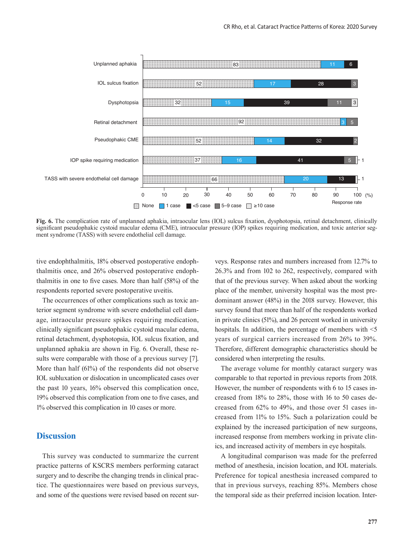

**Fig. 6.** The complication rate of unplanned aphakia, intraocular lens (IOL) sulcus fixation, dysphotopsia, retinal detachment, clinically significant pseudophakic cystoid macular edema (CME), intraocular pressure (IOP) spikes requiring medication, and toxic anterior segment syndrome (TASS) with severe endothelial cell damage.

tive endophthalmitis, 18% observed postoperative endophthalmitis once, and 26% observed postoperative endophthalmitis in one to five cases. More than half (58%) of the respondents reported severe postoperative uveitis.

The occurrences of other complications such as toxic anterior segment syndrome with severe endothelial cell damage, intraocular pressure spikes requiring medication, clinically significant pseudophakic cystoid macular edema, retinal detachment, dysphotopsia, IOL sulcus fixation, and unplanned aphakia are shown in Fig. 6. Overall, these results were comparable with those of a previous survey [7]. More than half (61%) of the respondents did not observe IOL subluxation or dislocation in uncomplicated cases over the past 10 years, 16% observed this complication once, 19% observed this complication from one to five cases, and 1% observed this complication in 10 cases or more.

## **Discussion**

This survey was conducted to summarize the current practice patterns of KSCRS members performing cataract surgery and to describe the changing trends in clinical practice. The questionnaires were based on previous surveys, and some of the questions were revised based on recent surveys. Response rates and numbers increased from 12.7% to 26.3% and from 102 to 262, respectively, compared with that of the previous survey. When asked about the working place of the member, university hospital was the most predominant answer (48%) in the 2018 survey. However, this survey found that more than half of the respondents worked in private clinics (51%), and 26 percent worked in university hospitals. In addition, the percentage of members with  $\leq 5$ years of surgical carriers increased from 26% to 39%. Therefore, different demographic characteristics should be considered when interpreting the results.

The average volume for monthly cataract surgery was comparable to that reported in previous reports from 2018. However, the number of respondents with 6 to 15 cases increased from 18% to 28%, those with 16 to 50 cases decreased from 62% to 49%, and those over 51 cases increased from 11% to 15%. Such a polarization could be explained by the increased participation of new surgeons, increased response from members working in private clinics, and increased activity of members in eye hospitals.

A longitudinal comparison was made for the preferred method of anesthesia, incision location, and IOL materials. Preference for topical anesthesia increased compared to that in previous surveys, reaching 85%. Members chose the temporal side as their preferred incision location. Inter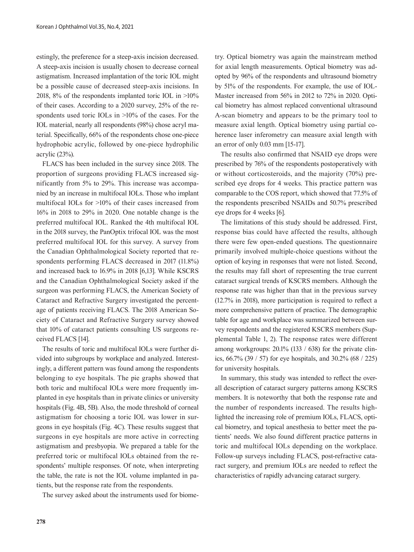estingly, the preference for a steep-axis incision decreased. A steep-axis incision is usually chosen to decrease corneal astigmatism. Increased implantation of the toric IOL might be a possible cause of decreased steep-axis incisions. In 2018, 8% of the respondents implanted toric IOL in  $>10\%$ of their cases. According to a 2020 survey, 25% of the respondents used toric IOLs in  $>10\%$  of the cases. For the IOL material, nearly all respondents (98%) chose acryl material. Specifically, 66% of the respondents chose one-piece hydrophobic acrylic, followed by one-piece hydrophilic acrylic (23%).

FLACS has been included in the survey since 2018. The proportion of surgeons providing FLACS increased significantly from 5% to 29%. This increase was accompanied by an increase in multifocal IOLs. Those who implant multifocal IOLs for >10% of their cases increased from 16% in 2018 to 29% in 2020. One notable change is the preferred multifocal IOL. Ranked the 4th multifocal IOL in the 2018 survey, the PanOptix trifocal IOL was the most preferred multifocal IOL for this survey. A survey from the Canadian Ophthalmological Society reported that respondents performing FLACS decreased in 2017 (11.8%) and increased back to 16.9% in 2018 [6,13]. While KSCRS and the Canadian Ophthalmological Society asked if the surgeon was performing FLACS, the American Society of Cataract and Refractive Surgery investigated the percentage of patients receiving FLACS. The 2018 American Society of Cataract and Refractive Surgery survey showed that 10% of cataract patients consulting US surgeons received FLACS [14].

The results of toric and multifocal IOLs were further divided into subgroups by workplace and analyzed. Interestingly, a different pattern was found among the respondents belonging to eye hospitals. The pie graphs showed that both toric and multifocal IOLs were more frequently implanted in eye hospitals than in private clinics or university hospitals (Fig. 4B, 5B). Also, the mode threshold of corneal astigmatism for choosing a toric IOL was lower in surgeons in eye hospitals (Fig. 4C). These results suggest that surgeons in eye hospitals are more active in correcting astigmatism and presbyopia. We prepared a table for the preferred toric or multifocal IOLs obtained from the respondents' multiple responses. Of note, when interpreting the table, the rate is not the IOL volume implanted in patients, but the response rate from the respondents.

The survey asked about the instruments used for biome-

try. Optical biometry was again the mainstream method for axial length measurements. Optical biometry was adopted by 96% of the respondents and ultrasound biometry by 51% of the respondents. For example, the use of IOL-Master increased from 56% in 2012 to 72% in 2020. Optical biometry has almost replaced conventional ultrasound A-scan biometry and appears to be the primary tool to measure axial length. Optical biometry using partial coherence laser inferometry can measure axial length with an error of only 0.03 mm [15-17].

The results also confirmed that NSAID eye drops were prescribed by 76% of the respondents postoperatively with or without corticosteroids, and the majority (70%) prescribed eye drops for 4 weeks. This practice pattern was comparable to the COS report, which showed that 77.5% of the respondents prescribed NSAIDs and 50.7% prescribed eye drops for 4 weeks [6].

The limitations of this study should be addressed. First, response bias could have affected the results, although there were few open-ended questions. The questionnaire primarily involved multiple-choice questions without the option of keying in responses that were not listed. Second, the results may fall short of representing the true current cataract surgical trends of KSCRS members. Although the response rate was higher than that in the previous survey (12.7% in 2018), more participation is required to reflect a more comprehensive pattern of practice. The demographic table for age and workplace was summarized between survey respondents and the registered KSCRS members (Supplemental Table 1, 2). The response rates were different among workgroups: 20.1% (133 / 638) for the private clinics, 66.7% (39 / 57) for eye hospitals, and 30.2% (68 / 225) for university hospitals.

In summary, this study was intended to reflect the overall description of cataract surgery patterns among KSCRS members. It is noteworthy that both the response rate and the number of respondents increased. The results highlighted the increasing role of premium IOLs, FLACS, optical biometry, and topical anesthesia to better meet the patients' needs. We also found different practice patterns in toric and multifocal IOLs depending on the workplace. Follow-up surveys including FLACS, post-refractive cataract surgery, and premium IOLs are needed to reflect the characteristics of rapidly advancing cataract surgery.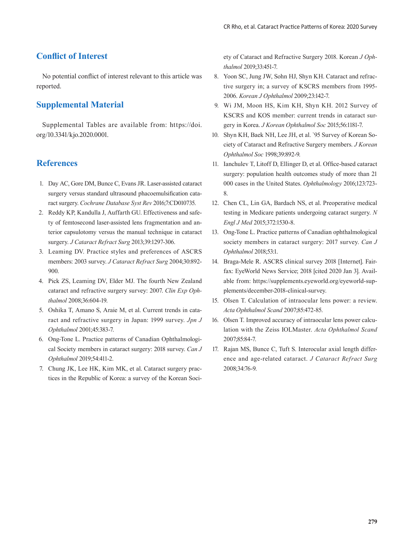## **Conflict of Interest**

No potential conflict of interest relevant to this article was reported.

## **Supplemental Material**

Supplemental Tables are available from: [https://doi.](https://doi.org/10.3341/kjo.2020.0001) [org/10.3341/kjo.2020.0001.](https://doi.org/10.3341/kjo.2020.0001) 

## **References**

- 1. Day AC, Gore DM, Bunce C, Evans JR. Laser-assisted cataract surgery versus standard ultrasound phacoemulsification cataract surgery. *Cochrane Database Syst Rev* 2016;7:CD010735.
- 2. Reddy KP, Kandulla J, Auffarth GU. Effectiveness and safety of femtosecond laser-assisted lens fragmentation and anterior capsulotomy versus the manual technique in cataract surgery. *J Cataract Refract Surg* 2013;39:1297-306.
- 3. Leaming DV. Practice styles and preferences of ASCRS members: 2003 survey. *J Cataract Refract Surg* 2004;30:892- 900.
- 4. Pick ZS, Leaming DV, Elder MJ. The fourth New Zealand cataract and refractive surgery survey: 2007. *Clin Exp Ophthalmol* 2008;36:604-19.
- 5. Oshika T, Amano S, Araie M, et al. Current trends in cataract and refractive surgery in Japan: 1999 survey. *Jpn J Ophthalmol* 2001;45:383-7.
- 6. Ong-Tone L. Practice patterns of Canadian Ophthalmological Society members in cataract surgery: 2018 survey. *Can J Ophthalmol* 2019;54:411-2.
- 7. Chung JK, Lee HK, Kim MK, et al. Cataract surgery practices in the Republic of Korea: a survey of the Korean Soci-

ety of Cataract and Refractive Surgery 2018. Korean *J Ophthalmol* 2019;33:451-7.

- 8. Yoon SC, Jung JW, Sohn HJ, Shyn KH. Cataract and refractive surgery in; a survey of KSCRS members from 1995- 2006. *Korean J Ophthalmol* 2009;23:142-7.
- 9. Wi JM, Moon HS, Kim KH, Shyn KH. 2012 Survey of KSCRS and KOS member: current trends in cataract surgery in Korea. *J Korean Ophthalmol Soc* 2015;56:1181-7.
- 10. Shyn KH, Baek NH, Lee JH, et al. `95 Survey of Korean Society of Cataract and Refractive Surgery members. *J Korean Ophthalmol Soc* 1998;39:892-9.
- 11. Ianchulev T, Litoff D, Ellinger D, et al. Office-based cataract surgery: population health outcomes study of more than 21 000 cases in the United States. *Ophthalmology* 2016;123:723- 8.
- 12. Chen CL, Lin GA, Bardach NS, et al. Preoperative medical testing in Medicare patients undergoing cataract surgery. *N Engl J Med* 2015;372:1530-8.
- 13. Ong-Tone L. Practice patterns of Canadian ophthalmological society members in cataract surgery: 2017 survey. *Can J Ophthalmol* 2018;53:1.
- 14. Braga-Mele R. ASCRS clinical survey 2018 [Internet]. Fairfax: EyeWorld News Service; 2018 [cited 2020 Jan 3]. Available from: [https://supplements.eyeworld.org/eyeworld-sup](https://supplements.eyeworld.org/eyeworld-supplements/december-2018-clinical-survey)[plements/december-2018-clinical-survey.](https://supplements.eyeworld.org/eyeworld-supplements/december-2018-clinical-survey)
- 15. Olsen T. Calculation of intraocular lens power: a review. *Acta Ophthalmol Scand* 2007;85:472-85.
- 16. Olsen T. Improved accuracy of intraocular lens power calculation with the Zeiss IOLMaster. *Acta Ophthalmol Scand* 2007;85:84-7.
- 17. Rajan MS, Bunce C, Tuft S. Interocular axial length difference and age-related cataract. *J Cataract Refract Surg*  2008;34:76-9.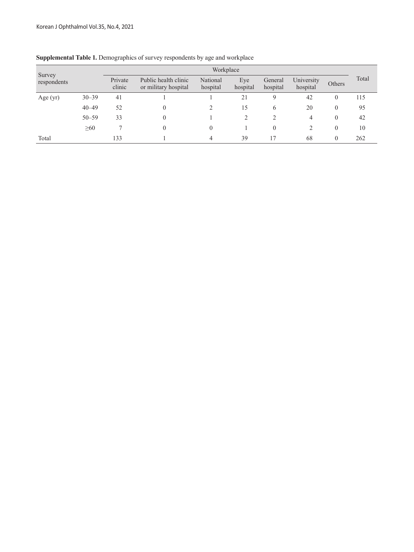|                       |           | Workplace         |                                              |                      |                 |                     |                        |          |       |
|-----------------------|-----------|-------------------|----------------------------------------------|----------------------|-----------------|---------------------|------------------------|----------|-------|
| Survey<br>respondents |           | Private<br>clinic | Public health clinic<br>or military hospital | National<br>hospital | Eye<br>hospital | General<br>hospital | University<br>hospital | Others   | Total |
| Age $(yr)$            | $30 - 39$ | 41                |                                              |                      | 21              | 9                   | 42                     |          | 115   |
|                       | $40 - 49$ | 52                | 0                                            |                      | 15              | 6                   | 20                     |          | 95    |
|                       | $50 - 59$ | 33                | 0                                            |                      |                 | າ                   | 4                      | $\theta$ | 42    |
|                       | $\geq 60$ |                   | 0                                            |                      |                 | 0                   |                        |          | 10    |
| Total                 |           | 133               |                                              | 4                    | 39              |                     | 68                     | 0        | 262   |

## **Supplemental Table 1.** Demographics of survey respondents by age and workplace